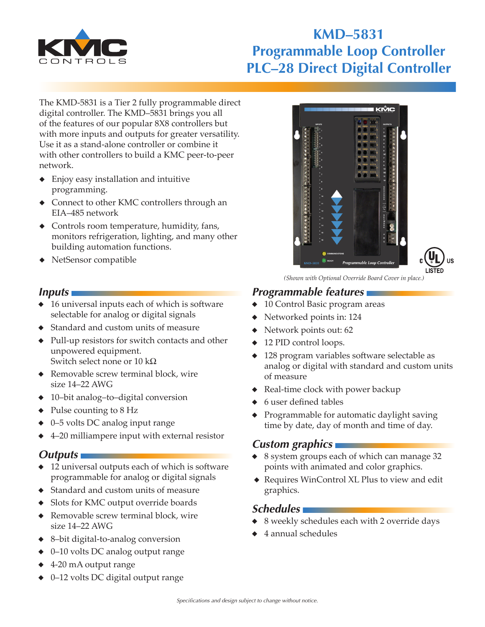

# **KMD–5831 Programmable Loop Controller PLC–28 Direct Digital Controller**

The KMD-5831 is a Tier 2 fully programmable direct digital controller. The KMD–5831 brings you all of the features of our popular 8X8 controllers but with more inputs and outputs for greater versatility. Use it as a stand-alone controller or combine it with other controllers to build a KMC peer-to-peer network.

- ◆ Enjoy easy installation and intuitive programming.
- ◆ Connect to other KMC controllers through an EIA–485 network
- ◆ Controls room temperature, humidity, fans, monitors refrigeration, lighting, and many other building automation functions.
- ◆ NetSensor compatible

#### *Inputs*

- ◆ 16 universal inputs each of which is software selectable for analog or digital signals
- ◆ Standard and custom units of measure
- Pull-up resistors for switch contacts and other unpowered equipment. Switch select none or  $10 \text{ k}\Omega$
- ◆ Removable screw terminal block, wire size 14–22 AWG
- ◆ 10–bit analog–to–digital conversion
- ◆ Pulse counting to 8 Hz
- ◆ 0–5 volts DC analog input range
- ◆ 4–20 milliampere input with external resistor

#### *Outputs*

- ◆ 12 universal outputs each of which is software programmable for analog or digital signals
- ◆ Standard and custom units of measure
- ◆ Slots for KMC output override boards
- ◆ Removable screw terminal block, wire size 14–22 AWG
- ◆ 8–bit digital-to-analog conversion
- ◆ 0–10 volts DC analog output range
- ◆ 4-20 mA output range
- ◆ 0–12 volts DC digital output range

*(Shown with Optional Override Board Cover in place.)*

# *Programmable features*

- ◆ 10 Control Basic program areas
- ◆ Networked points in: 124
- ◆ Network points out: 62
- ◆ 12 PID control loops.
- ◆ 128 program variables software selectable as analog or digital with standard and custom units of measure
- ◆ Real-time clock with power backup
- ◆ 6 user defined tables
- ◆ Programmable for automatic daylight saving time by date, day of month and time of day.

### *Custom graphics*

- ◆ 8 system groups each of which can manage 32 points with animated and color graphics.
- ◆ Requires WinControl XL Plus to view and edit graphics.

### *Schedules*

- 8 weekly schedules each with 2 override days
- ◆ 4 annual schedules